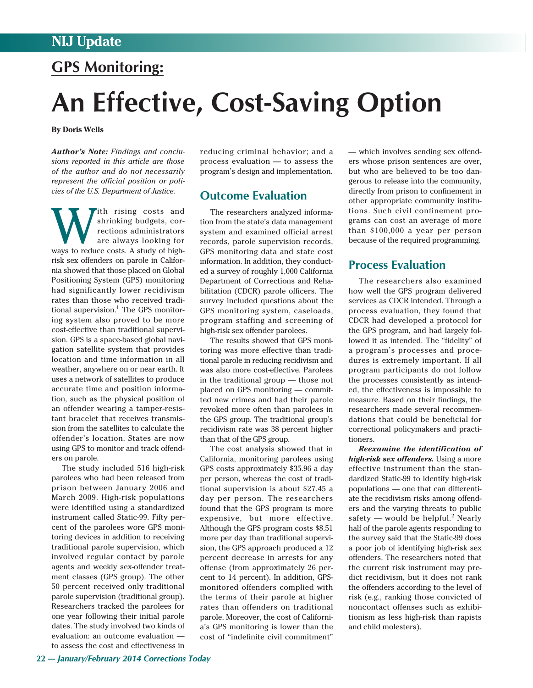## **GPS Monitoring:**

# **An Effective, Cost-Saving Option**

**By Doris Wells**

*Author's Note: Findings and conclusions reported in this article are those of the author and do not necessarily represent the official position or policies of the U.S. Department of Justice.*

with rising costs and shrinking budgets, corrections administrators<br>are always looking for shrinking budgets, corrections administrators are always looking for ways to reduce costs. A study of highrisk sex offenders on parole in California showed that those placed on Global Positioning System (GPS) monitoring had significantly lower recidivism rates than those who received traditional supervision. <sup>1</sup> The GPS monitoring system also proved to be more cost-effective than traditional supervision. GPS is a space-based global navigation satellite system that provides location and time information in all weather, anywhere on or near earth. It uses a network of satellites to produce accurate time and position information, such as the physical position of an offender wearing a tamper-resistant bracelet that receives transmission from the satellites to calculate the offender's location. States are now using GPS to monitor and track offenders on parole.

The study included 516 high-risk parolees who had been released from prison between January 2006 and March 2009. High-risk populations were identified using a standardized instrument called Static-99. Fifty percent of the parolees wore GPS monitoring devices in addition to receiving traditional parole supervision, which involved regular contact by parole agents and weekly sex-offender treatment classes (GPS group). The other 50 percent received only traditional parole supervision (traditional group). Researchers tracked the parolees for one year following their initial parole dates. The study involved two kinds of evaluation: an outcome evaluation to assess the cost and effectiveness in

reducing criminal behavior; and a process evaluation — to assess the program's design and implementation.

### **Outcome Evaluation**

The researchers analyzed information from the state's data management system and examined official arrest records, parole supervision records, GPS monitoring data and state cost information. In addition, they conducted a survey of roughly 1,000 California Department of Corrections and Rehabilitation (CDCR) parole officers. The survey included questions about the GPS monitoring system, caseloads, program staffing and screening of high-risk sex offender parolees.

The results showed that GPS monitoring was more effective than traditional parole in reducing recidivism and was also more cost-effective. Parolees in the traditional group — those not placed on GPS monitoring — committed new crimes and had their parole revoked more often than parolees in the GPS group. The traditional group's recidivism rate was 38 percent higher than that of the GPS group.

The cost analysis showed that in California, monitoring parolees using GPS costs approximately \$35.96 a day per person, whereas the cost of traditional supervision is about \$27.45 a day per person. The researchers found that the GPS program is more expensive, but more effective. Although the GPS program costs \$8.51 more per day than traditional supervision, the GPS approach produced a 12 percent decrease in arrests for any offense (from approximately 26 percent to 14 percent). In addition, GPSmonitored offenders complied with the terms of their parole at higher rates than offenders on traditional parole. Moreover, the cost of California's GPS monitoring is lower than the cost of "indefinite civil commitment"

— which involves sending sex offenders whose prison sentences are over, but who are believed to be too dangerous to release into the community, directly from prison to confinement in other appropriate community institutions. Such civil confinement programs can cost an average of more than \$100,000 a year per person because of the required programming.

### **Process Evaluation**

The researchers also examined how well the GPS program delivered services as CDCR intended. Through a process evaluation, they found that CDCR had developed a protocol for the GPS program, and had largely followed it as intended. The "fidelity" of a program's processes and procedures is extremely important. If all program participants do not follow the processes consistently as intended, the effectiveness is impossible to measure. Based on their findings, the researchers made several recommendations that could be beneficial for correctional policymakers and practitioners.

*Reexamine the identification of high-risk sex offenders.* Using a more effective instrument than the standardized Static-99 to identify high-risk populations — one that can differentiate the recidivism risks among offenders and the varying threats to public safety — would be helpful.<sup>2</sup> Nearly half of the parole agents responding to the survey said that the Static-99 does a poor job of identifying high-risk sex offenders. The researchers noted that the current risk instrument may predict recidivism, but it does not rank the offenders according to the level of risk (e.g., ranking those convicted of noncontact offenses such as exhibitionism as less high-risk than rapists and child molesters).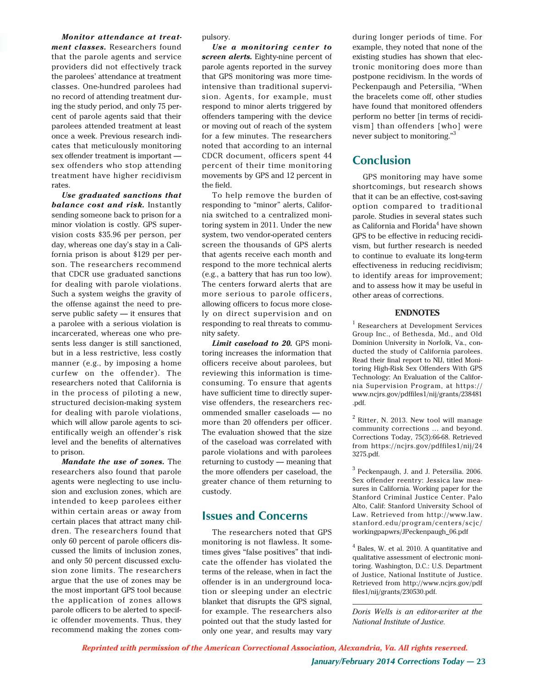*Monitor attendance at treatment classes.* Researchers found that the parole agents and service providers did not effectively track the parolees' attendance at treatment classes. One-hundred parolees had no record of attending treatment during the study period, and only 75 percent of parole agents said that their parolees attended treatment at least once a week. Previous research indicates that meticulously monitoring sex offender treatment is important sex offenders who stop attending treatment have higher recidivism rates.

*Use graduated sanctions that balance cost and risk.* Instantly sending someone back to prison for a minor violation is costly. GPS supervision costs \$35.96 per person, per day, whereas one day's stay in a California prison is about \$129 per person. The researchers recommend that CDCR use graduated sanctions for dealing with parole violations. Such a system weighs the gravity of the offense against the need to preserve public safety — it ensures that a parolee with a serious violation is incarcerated, whereas one who presents less danger is still sanctioned, but in a less restrictive, less costly manner (e.g., by imposing a home curfew on the offender). The researchers noted that California is in the process of piloting a new, structured decision-making system for dealing with parole violations, which will allow parole agents to scientifically weigh an offender's risk level and the benefits of alternatives to prison.

*Mandate the use of zones.* The researchers also found that parole agents were neglecting to use inclusion and exclusion zones, which are intended to keep parolees either within certain areas or away from certain places that attract many children. The researchers found that only 60 percent of parole officers discussed the limits of inclusion zones, and only 50 percent discussed exclusion zone limits. The researchers argue that the use of zones may be the most important GPS tool because the application of zones allows parole officers to be alerted to specific offender movements. Thus, they recommend making the zones compulsory.

*Use a monitoring center to screen alerts.* Eighty-nine percent of parole agents reported in the survey that GPS monitoring was more timeintensive than traditional supervision. Agents, for example, must respond to minor alerts triggered by offenders tampering with the device or moving out of reach of the system for a few minutes. The researchers noted that according to an internal CDCR document, officers spent 44 percent of their time monitoring movements by GPS and 12 percent in the field.

To help remove the burden of responding to "minor" alerts, California switched to a centralized monitoring system in 2011. Under the new system, two vendor-operated centers screen the thousands of GPS alerts that agents receive each month and respond to the more technical alerts (e.g., a battery that has run too low). The centers forward alerts that are more serious to parole officers, allowing officers to focus more closely on direct supervision and on responding to real threats to community safety.

*Limit caseload to 20.* GPS monitoring increases the information that officers receive about parolees, but reviewing this information is timeconsuming. To ensure that agents have sufficient time to directly supervise offenders, the researchers recommended smaller caseloads — no more than 20 offenders per officer. The evaluation showed that the size of the caseload was correlated with parole violations and with parolees returning to custody — meaning that the more offenders per caseload, the greater chance of them returning to custody.

#### **Issues and Concerns**

The researchers noted that GPS monitoring is not flawless. It sometimes gives "false positives" that indicate the offender has violated the terms of the release, when in fact the offender is in an underground location or sleeping under an electric blanket that disrupts the GPS signal, for example. The researchers also pointed out that the study lasted for only one year, and results may vary during longer periods of time. For example, they noted that none of the existing studies has shown that electronic monitoring does more than postpone recidivism. In the words of Peckenpaugh and Petersilia, "When the bracelets come off, other studies have found that monitored offenders perform no better [in terms of recidivism] than offenders [who] were never subject to monitoring."<sup>3</sup>

### **Conclusion**

GPS monitoring may have some shortcomings, but research shows that it can be an effective, cost-saving option compared to traditional parole. Studies in several states such as California and Florida<sup>4</sup> have shown GPS to be effective in reducing recidivism, but further research is needed to continue to evaluate its long-term effectiveness in reducing recidivism; to identify areas for improvement; and to assess how it may be useful in other areas of corrections.

#### **ENDNOTES**

<sup>1</sup> Researchers at Development Services Group Inc., of Bethesda, Md., and Old Dominion University in Norfolk, Va., conducted the study of California parolees. Read their final report to NIJ, titled Monitoring High-Risk Sex Offenders With GPS Technology: An Evaluation of the California Supervision Program, at https:// www.ncjrs.gov/pdffiles1/nij/grants/238481 .pdf.

 $2$  Ritter, N. 2013. New tool will manage community corrections … and beyond. Corrections Today, 75(3):66-68. Retrieved from https://ncjrs.gov/pdffiles1/nij/24 3275.pdf.

<sup>3</sup> Peckenpaugh, J. and J. Petersilia. 2006. Sex offender reentry: Jessica law measures in California. Working paper for the Stanford Criminal Justice Center. Palo Alto, Calif: Stanford University School of Law. Retrieved from http://www.law. stanford.edu/program/centers/scjc/ workingpapwrs/JPeckenpaugh\_06.pdf

 $<sup>4</sup>$  Bales, W. et al. 2010. A quantitative and</sup> qualitative assessment of electronic monitoring. Washington, D.C.: U.S. Department of Justice, National Institute of Justice. Retrieved from http://www.ncjrs.gov/pdf files1/nij/grants/230530.pdf.

*Doris Wells is an editor-writer at the National Institute of Justice.*